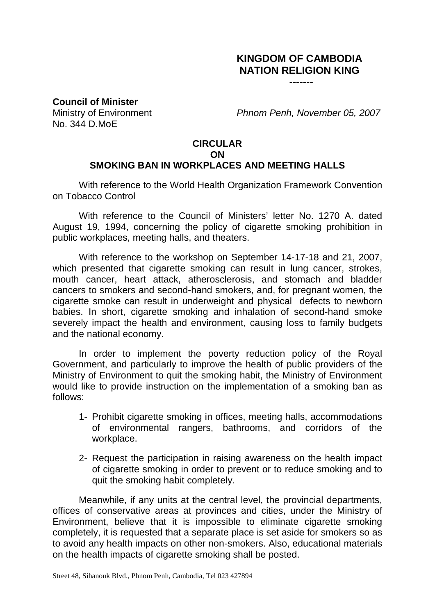## **KINGDOM OF CAMBODIA NATION RELIGION KING**

**-------**

**Council of Minister**

No. 344 D.MoE

Ministry of Environment *Phnom Penh, November 05, 2007*

## **CIRCULAR ON SMOKING BAN IN WORKPLACES AND MEETING HALLS**

With reference to the World Health Organization Framework Convention on Tobacco Control

With reference to the Council of Ministers' letter No. 1270 A. dated August 19, 1994, concerning the policy of cigarette smoking prohibition in public workplaces, meeting halls, and theaters.

With reference to the workshop on September 14-17-18 and 21, 2007, which presented that cigarette smoking can result in lung cancer, strokes, mouth cancer, heart attack, atherosclerosis, and stomach and bladder cancers to smokers and second-hand smokers, and, for pregnant women, the cigarette smoke can result in underweight and physical defects to newborn babies. In short, cigarette smoking and inhalation of second-hand smoke severely impact the health and environment, causing loss to family budgets and the national economy.

In order to implement the poverty reduction policy of the Royal Government, and particularly to improve the health of public providers of the Ministry of Environment to quit the smoking habit, the Ministry of Environment would like to provide instruction on the implementation of a smoking ban as follows:

- 1- Prohibit cigarette smoking in offices, meeting halls, accommodations of environmental rangers, bathrooms, and corridors of the workplace.
- 2- Request the participation in raising awareness on the health impact of cigarette smoking in order to prevent or to reduce smoking and to quit the smoking habit completely.

Meanwhile, if any units at the central level, the provincial departments, offices of conservative areas at provinces and cities, under the Ministry of Environment, believe that it is impossible to eliminate cigarette smoking completely, it is requested that a separate place is set aside for smokers so as to avoid any health impacts on other non-smokers. Also, educational materials on the health impacts of cigarette smoking shall be posted.